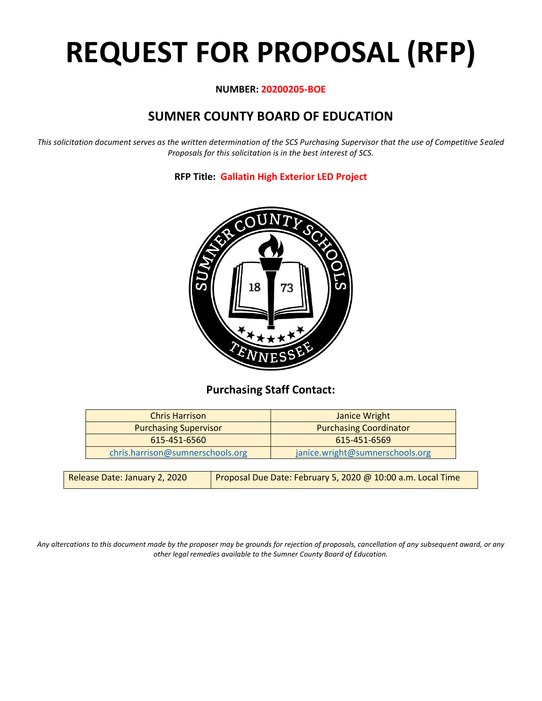# **REQUEST FOR PROPOSAL (RFP)**

#### **NUMBER: 20200205-BOE**

# **SUMNER COUNTY BOARD OF EDUCATION**

*This solicitation document serves as the written determination of the SCS Purchasing Supervisor that the use of Competitive Sealed Proposals for this solicitation is in the best interest of SCS.*

**RFP Title: Gallatin High Exterior LED Project**



## **Purchasing Staff Contact:**

| <b>Purchasing Coordinator</b>   |
|---------------------------------|
| 615-451-6569                    |
| janice.wright@sumnerschools.org |
|                                 |

| Release Date: January 2, 2020 | Proposal Due Date: February 5, 2020 @ 10:00 a.m. Local Time |
|-------------------------------|-------------------------------------------------------------|
|-------------------------------|-------------------------------------------------------------|

*Any altercations to this document made by the proposer may be grounds for rejection of proposals, cancellation of any subsequent award, or any other legal remedies available to the Sumner County Board of Education.*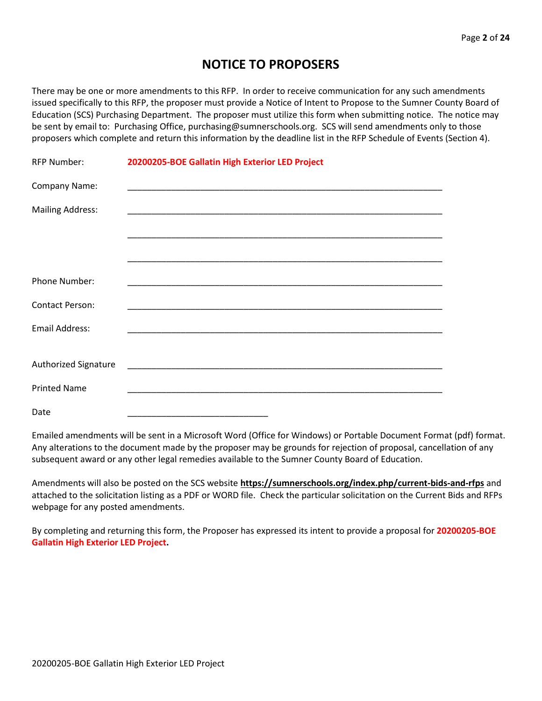## **NOTICE TO PROPOSERS**

There may be one or more amendments to this RFP. In order to receive communication for any such amendments issued specifically to this RFP, the proposer must provide a Notice of Intent to Propose to the Sumner County Board of Education (SCS) Purchasing Department. The proposer must utilize this form when submitting notice. The notice may be sent by email to: Purchasing Office, purchasing@sumnerschools.org. SCS will send amendments only to those proposers which complete and return this information by the deadline list in the RFP Schedule of Events (Section 4).

| <b>RFP Number:</b>          | 20200205-BOE Gallatin High Exterior LED Project |
|-----------------------------|-------------------------------------------------|
| Company Name:               |                                                 |
| <b>Mailing Address:</b>     |                                                 |
|                             |                                                 |
|                             |                                                 |
| Phone Number:               |                                                 |
| <b>Contact Person:</b>      |                                                 |
| <b>Email Address:</b>       |                                                 |
|                             |                                                 |
| <b>Authorized Signature</b> |                                                 |
| <b>Printed Name</b>         |                                                 |
| Date                        |                                                 |

Emailed amendments will be sent in a Microsoft Word (Office for Windows) or Portable Document Format (pdf) format. Any alterations to the document made by the proposer may be grounds for rejection of proposal, cancellation of any subsequent award or any other legal remedies available to the Sumner County Board of Education.

Amendments will also be posted on the SCS website **https://sumnerschools.org/index.php/current-bids-and-rfps** and attached to the solicitation listing as a PDF or WORD file. Check the particular solicitation on the Current Bids and RFPs webpage for any posted amendments.

By completing and returning this form, the Proposer has expressed its intent to provide a proposal for **20200205-BOE Gallatin High Exterior LED Project.**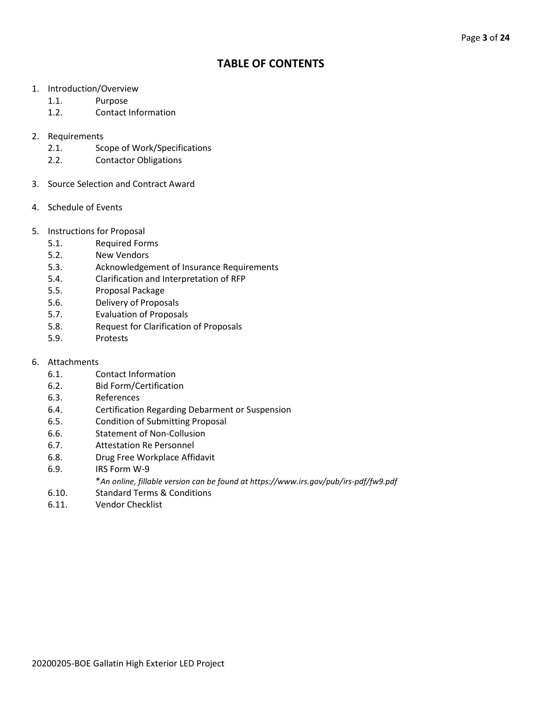## **TABLE OF CONTENTS**

- 1. Introduction/Overview
	- 1.1. Purpose
	- 1.2. Contact Information
- 2. Requirements
	- 2.1. Scope of Work/Specifications
	- 2.2. Contactor Obligations
- 3. Source Selection and Contract Award
- 4. Schedule of Events
- 5. Instructions for Proposal
	- 5.1. Required Forms
	- 5.2. New Vendors
	- 5.3. Acknowledgement of Insurance Requirements
	- 5.4. Clarification and Interpretation of RFP
	- 5.5. Proposal Package
	- 5.6. Delivery of Proposals
	- 5.7. Evaluation of Proposals
	- 5.8. Request for Clarification of Proposals
	- 5.9. Protests
- 6. Attachments
	- 6.1. Contact Information
	- 6.2. Bid Form/Certification
	- 6.3. References
	- 6.4. Certification Regarding Debarment or Suspension
	- 6.5. Condition of Submitting Proposal
	- 6.6. Statement of Non-Collusion
	- 6.7. Attestation Re Personnel
	- 6.8. Drug Free Workplace Affidavit
	- 6.9. IRS Form W-9
		- \**An online, fillable version can be found at https://www.irs.gov/pub/irs-pdf/fw9.pdf*
	- 6.10. Standard Terms & Conditions
	- 6.11. Vendor Checklist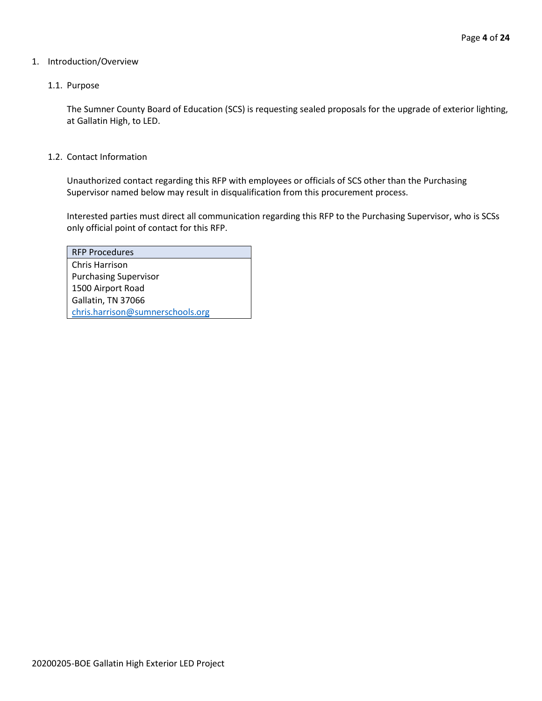#### 1. Introduction/Overview

#### 1.1. Purpose

The Sumner County Board of Education (SCS) is requesting sealed proposals for the upgrade of exterior lighting, at Gallatin High, to LED.

1.2. Contact Information

Unauthorized contact regarding this RFP with employees or officials of SCS other than the Purchasing Supervisor named below may result in disqualification from this procurement process.

Interested parties must direct all communication regarding this RFP to the Purchasing Supervisor, who is SCSs only official point of contact for this RFP.

| <b>RFP Procedures</b>            |
|----------------------------------|
| Chris Harrison                   |
| <b>Purchasing Supervisor</b>     |
| 1500 Airport Road                |
| Gallatin, TN 37066               |
| chris.harrison@sumnerschools.org |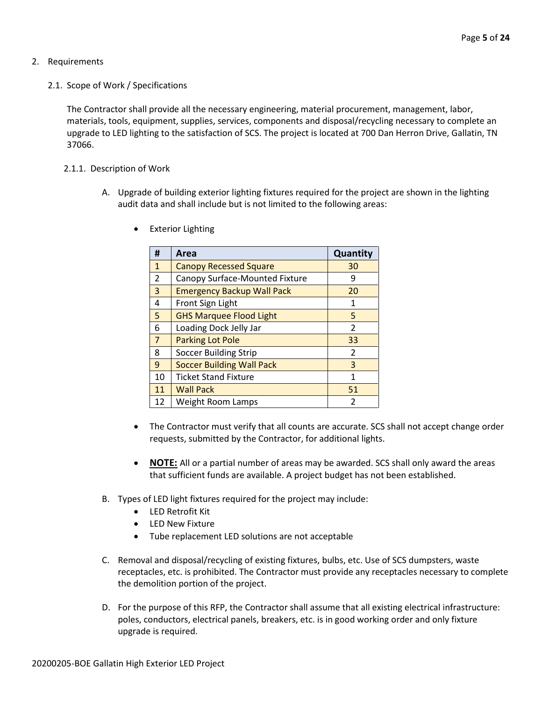#### 2. Requirements

2.1. Scope of Work / Specifications

The Contractor shall provide all the necessary engineering, material procurement, management, labor, materials, tools, equipment, supplies, services, components and disposal/recycling necessary to complete an upgrade to LED lighting to the satisfaction of SCS. The project is located at 700 Dan Herron Drive, Gallatin, TN 37066.

#### 2.1.1. Description of Work

A. Upgrade of building exterior lighting fixtures required for the project are shown in the lighting audit data and shall include but is not limited to the following areas:

| #              | Area                              | Quantity                 |
|----------------|-----------------------------------|--------------------------|
| $\mathbf{1}$   | <b>Canopy Recessed Square</b>     | 30                       |
| $\overline{2}$ | Canopy Surface-Mounted Fixture    | 9                        |
| 3              | <b>Emergency Backup Wall Pack</b> | 20                       |
| 4              | Front Sign Light                  | 1                        |
| 5              | <b>GHS Marquee Flood Light</b>    | 5                        |
| 6              | Loading Dock Jelly Jar            | $\overline{\phantom{a}}$ |
| $\overline{7}$ | <b>Parking Lot Pole</b>           | 33                       |
| 8              | <b>Soccer Building Strip</b>      | $\overline{\phantom{a}}$ |
| 9              | <b>Soccer Building Wall Pack</b>  | 3                        |
| 10             | <b>Ticket Stand Fixture</b>       | 1                        |
| 11             | <b>Wall Pack</b>                  | 51                       |
| 12             | Weight Room Lamps                 | $\mathfrak z$            |

• Exterior Lighting

- The Contractor must verify that all counts are accurate. SCS shall not accept change order requests, submitted by the Contractor, for additional lights.
- **NOTE:** All or a partial number of areas may be awarded. SCS shall only award the areas that sufficient funds are available. A project budget has not been established.
- B. Types of LED light fixtures required for the project may include:
	- LED Retrofit Kit
	- LED New Fixture
	- Tube replacement LED solutions are not acceptable
- C. Removal and disposal/recycling of existing fixtures, bulbs, etc. Use of SCS dumpsters, waste receptacles, etc. is prohibited. The Contractor must provide any receptacles necessary to complete the demolition portion of the project.
- D. For the purpose of this RFP, the Contractor shall assume that all existing electrical infrastructure: poles, conductors, electrical panels, breakers, etc. is in good working order and only fixture upgrade is required.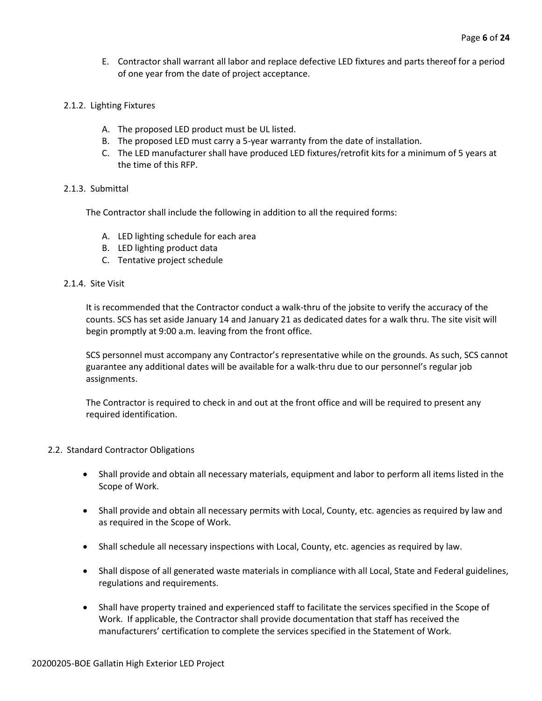- E. Contractor shall warrant all labor and replace defective LED fixtures and parts thereof for a period of one year from the date of project acceptance.
- 2.1.2. Lighting Fixtures
	- A. The proposed LED product must be UL listed.
	- B. The proposed LED must carry a 5-year warranty from the date of installation.
	- C. The LED manufacturer shall have produced LED fixtures/retrofit kits for a minimum of 5 years at the time of this RFP.

#### 2.1.3. Submittal

The Contractor shall include the following in addition to all the required forms:

- A. LED lighting schedule for each area
- B. LED lighting product data
- C. Tentative project schedule

#### 2.1.4. Site Visit

It is recommended that the Contractor conduct a walk-thru of the jobsite to verify the accuracy of the counts. SCS has set aside January 14 and January 21 as dedicated dates for a walk thru. The site visit will begin promptly at 9:00 a.m. leaving from the front office.

SCS personnel must accompany any Contractor's representative while on the grounds. As such, SCS cannot guarantee any additional dates will be available for a walk-thru due to our personnel's regular job assignments.

The Contractor is required to check in and out at the front office and will be required to present any required identification.

#### 2.2. Standard Contractor Obligations

- Shall provide and obtain all necessary materials, equipment and labor to perform all items listed in the Scope of Work.
- Shall provide and obtain all necessary permits with Local, County, etc. agencies as required by law and as required in the Scope of Work.
- Shall schedule all necessary inspections with Local, County, etc. agencies as required by law.
- Shall dispose of all generated waste materials in compliance with all Local, State and Federal guidelines, regulations and requirements.
- Shall have property trained and experienced staff to facilitate the services specified in the Scope of Work. If applicable, the Contractor shall provide documentation that staff has received the manufacturers' certification to complete the services specified in the Statement of Work.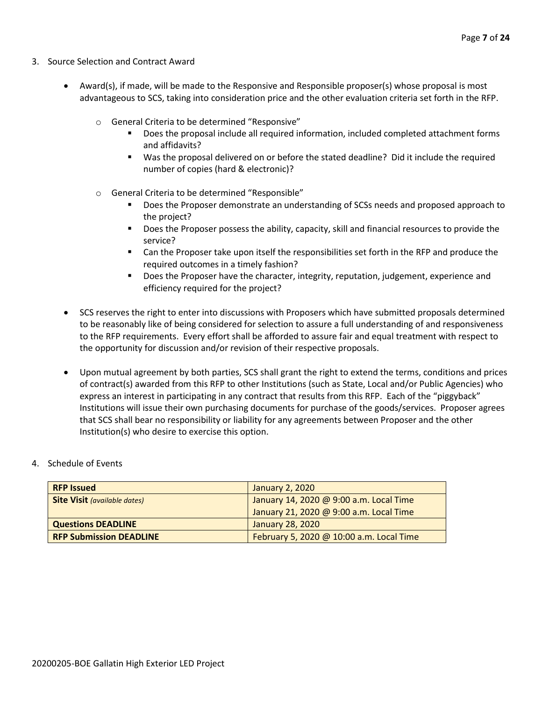- 3. Source Selection and Contract Award
	- Award(s), if made, will be made to the Responsive and Responsible proposer(s) whose proposal is most advantageous to SCS, taking into consideration price and the other evaluation criteria set forth in the RFP.
		- o General Criteria to be determined "Responsive"
			- Does the proposal include all required information, included completed attachment forms and affidavits?
			- Was the proposal delivered on or before the stated deadline? Did it include the required number of copies (hard & electronic)?
		- o General Criteria to be determined "Responsible"
			- Does the Proposer demonstrate an understanding of SCSs needs and proposed approach to the project?
			- Does the Proposer possess the ability, capacity, skill and financial resources to provide the service?
			- Can the Proposer take upon itself the responsibilities set forth in the RFP and produce the required outcomes in a timely fashion?
			- **■** Does the Proposer have the character, integrity, reputation, judgement, experience and efficiency required for the project?
	- SCS reserves the right to enter into discussions with Proposers which have submitted proposals determined to be reasonably like of being considered for selection to assure a full understanding of and responsiveness to the RFP requirements. Every effort shall be afforded to assure fair and equal treatment with respect to the opportunity for discussion and/or revision of their respective proposals.
	- Upon mutual agreement by both parties, SCS shall grant the right to extend the terms, conditions and prices of contract(s) awarded from this RFP to other Institutions (such as State, Local and/or Public Agencies) who express an interest in participating in any contract that results from this RFP. Each of the "piggyback" Institutions will issue their own purchasing documents for purchase of the goods/services. Proposer agrees that SCS shall bear no responsibility or liability for any agreements between Proposer and the other Institution(s) who desire to exercise this option.

#### 4. Schedule of Events

| <b>RFP Issued</b>                   | January 2, 2020                          |  |
|-------------------------------------|------------------------------------------|--|
| <b>Site Visit (available dates)</b> | January 14, 2020 @ 9:00 a.m. Local Time  |  |
|                                     | January 21, 2020 @ 9:00 a.m. Local Time  |  |
| <b>Questions DEADLINE</b>           | January 28, 2020                         |  |
| <b>RFP Submission DEADLINE</b>      | February 5, 2020 @ 10:00 a.m. Local Time |  |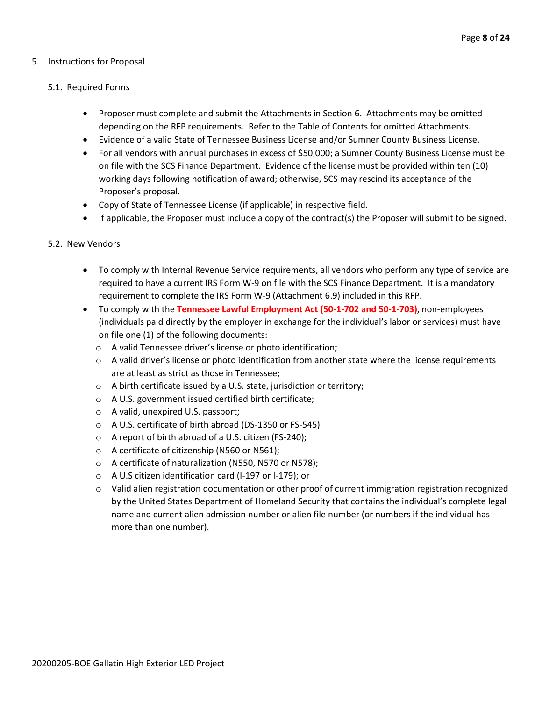#### 5. Instructions for Proposal

#### 5.1. Required Forms

- Proposer must complete and submit the Attachments in Section 6. Attachments may be omitted depending on the RFP requirements. Refer to the Table of Contents for omitted Attachments.
- Evidence of a valid State of Tennessee Business License and/or Sumner County Business License.
- For all vendors with annual purchases in excess of \$50,000; a Sumner County Business License must be on file with the SCS Finance Department. Evidence of the license must be provided within ten (10) working days following notification of award; otherwise, SCS may rescind its acceptance of the Proposer's proposal.
- Copy of State of Tennessee License (if applicable) in respective field.
- If applicable, the Proposer must include a copy of the contract(s) the Proposer will submit to be signed.

#### 5.2. New Vendors

- To comply with Internal Revenue Service requirements, all vendors who perform any type of service are required to have a current IRS Form W-9 on file with the SCS Finance Department. It is a mandatory requirement to complete the IRS Form W-9 (Attachment 6.9) included in this RFP.
- To comply with the **Tennessee Lawful Employment Act (50-1-702 and 50-1-703)**, non-employees (individuals paid directly by the employer in exchange for the individual's labor or services) must have on file one (1) of the following documents:
	- o A valid Tennessee driver's license or photo identification;
	- $\circ$  A valid driver's license or photo identification from another state where the license requirements are at least as strict as those in Tennessee;
	- o A birth certificate issued by a U.S. state, jurisdiction or territory;
	- o A U.S. government issued certified birth certificate;
	- o A valid, unexpired U.S. passport;
	- o A U.S. certificate of birth abroad (DS-1350 or FS-545)
	- o A report of birth abroad of a U.S. citizen (FS-240);
	- o A certificate of citizenship (N560 or N561);
	- o A certificate of naturalization (N550, N570 or N578);
	- o A U.S citizen identification card (I-197 or I-179); or
	- $\circ$  Valid alien registration documentation or other proof of current immigration registration recognized by the United States Department of Homeland Security that contains the individual's complete legal name and current alien admission number or alien file number (or numbers if the individual has more than one number).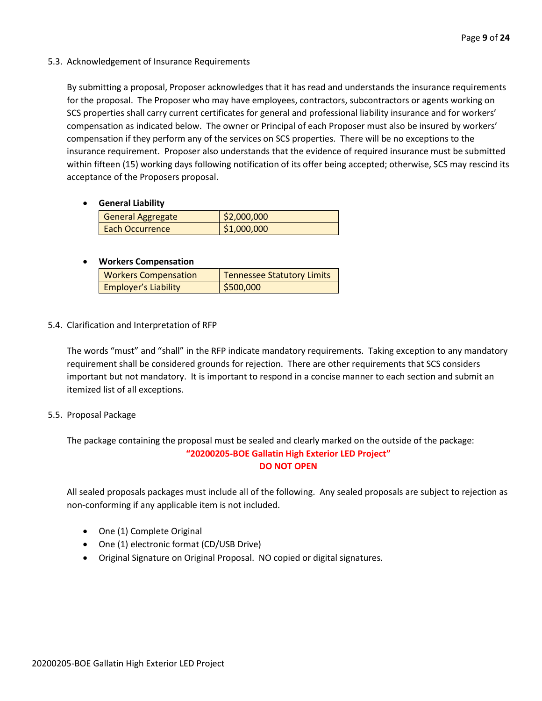#### 5.3. Acknowledgement of Insurance Requirements

By submitting a proposal, Proposer acknowledges that it has read and understands the insurance requirements for the proposal. The Proposer who may have employees, contractors, subcontractors or agents working on SCS properties shall carry current certificates for general and professional liability insurance and for workers' compensation as indicated below. The owner or Principal of each Proposer must also be insured by workers' compensation if they perform any of the services on SCS properties. There will be no exceptions to the insurance requirement. Proposer also understands that the evidence of required insurance must be submitted within fifteen (15) working days following notification of its offer being accepted; otherwise, SCS may rescind its acceptance of the Proposers proposal.

#### • **General Liability**

| General Aggregate | \$2,000,000 |
|-------------------|-------------|
| Each Occurrence   | \$1,000,000 |

#### • **Workers Compensation**

| <b>Workers Compensation</b> | <b>Tennessee Statutory Limits</b> |
|-----------------------------|-----------------------------------|
| <b>Employer's Liability</b> | \$500,000                         |

#### 5.4. Clarification and Interpretation of RFP

The words "must" and "shall" in the RFP indicate mandatory requirements. Taking exception to any mandatory requirement shall be considered grounds for rejection. There are other requirements that SCS considers important but not mandatory. It is important to respond in a concise manner to each section and submit an itemized list of all exceptions.

#### 5.5. Proposal Package

The package containing the proposal must be sealed and clearly marked on the outside of the package: **"20200205-BOE Gallatin High Exterior LED Project" DO NOT OPEN**

All sealed proposals packages must include all of the following. Any sealed proposals are subject to rejection as non-conforming if any applicable item is not included.

- One (1) Complete Original
- One (1) electronic format (CD/USB Drive)
- Original Signature on Original Proposal. NO copied or digital signatures.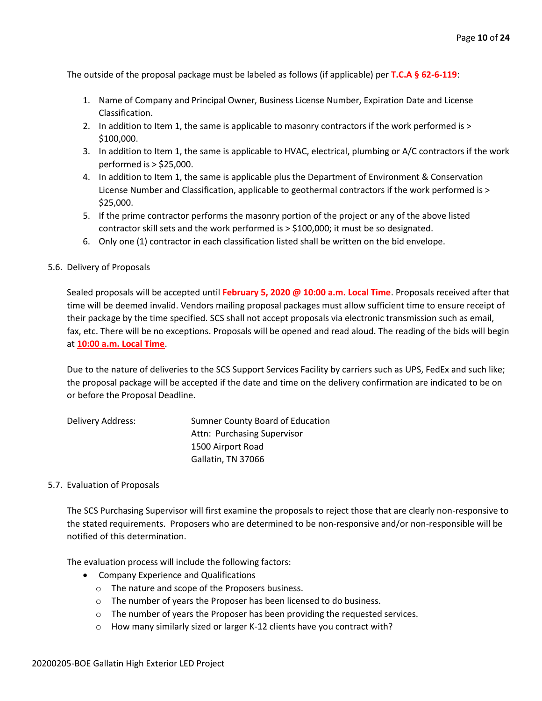The outside of the proposal package must be labeled as follows (if applicable) per **T.C.A § 62-6-119**:

- 1. Name of Company and Principal Owner, Business License Number, Expiration Date and License Classification.
- 2. In addition to Item 1, the same is applicable to masonry contractors if the work performed is > \$100,000.
- 3. In addition to Item 1, the same is applicable to HVAC, electrical, plumbing or A/C contractors if the work performed is > \$25,000.
- 4. In addition to Item 1, the same is applicable plus the Department of Environment & Conservation License Number and Classification, applicable to geothermal contractors if the work performed is > \$25,000.
- 5. If the prime contractor performs the masonry portion of the project or any of the above listed contractor skill sets and the work performed is > \$100,000; it must be so designated.
- 6. Only one (1) contractor in each classification listed shall be written on the bid envelope.

#### 5.6. Delivery of Proposals

Sealed proposals will be accepted until **February 5, 2020 @ 10:00 a.m. Local Time**. Proposals received after that time will be deemed invalid. Vendors mailing proposal packages must allow sufficient time to ensure receipt of their package by the time specified. SCS shall not accept proposals via electronic transmission such as email, fax, etc. There will be no exceptions. Proposals will be opened and read aloud. The reading of the bids will begin at **10:00 a.m. Local Time**.

Due to the nature of deliveries to the SCS Support Services Facility by carriers such as UPS, FedEx and such like; the proposal package will be accepted if the date and time on the delivery confirmation are indicated to be on or before the Proposal Deadline.

| Delivery Address: | Sumner County Board of Education |
|-------------------|----------------------------------|
|                   | Attn: Purchasing Supervisor      |
|                   | 1500 Airport Road                |
|                   | Gallatin, TN 37066               |

#### 5.7. Evaluation of Proposals

The SCS Purchasing Supervisor will first examine the proposals to reject those that are clearly non-responsive to the stated requirements. Proposers who are determined to be non-responsive and/or non-responsible will be notified of this determination.

The evaluation process will include the following factors:

- Company Experience and Qualifications
	- o The nature and scope of the Proposers business.
	- o The number of years the Proposer has been licensed to do business.
	- o The number of years the Proposer has been providing the requested services.
	- o How many similarly sized or larger K-12 clients have you contract with?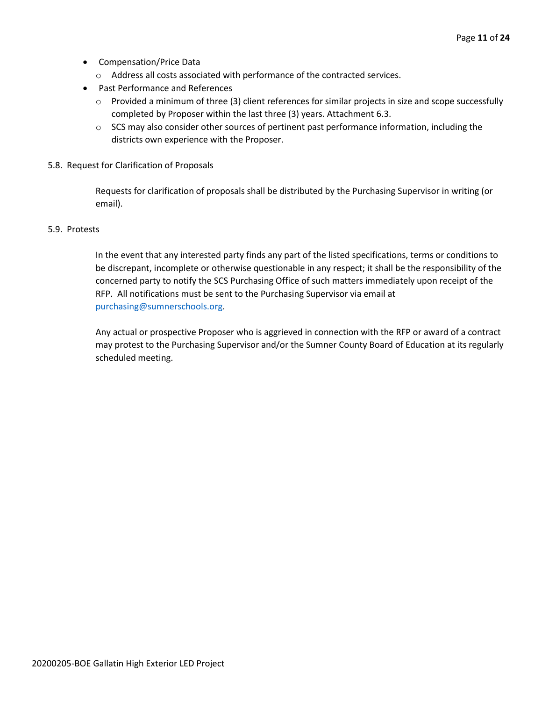- Compensation/Price Data
	- o Address all costs associated with performance of the contracted services.
- Past Performance and References
	- o Provided a minimum of three (3) client references for similar projects in size and scope successfully completed by Proposer within the last three (3) years. Attachment 6.3.
	- $\circ$  SCS may also consider other sources of pertinent past performance information, including the districts own experience with the Proposer.
- 5.8. Request for Clarification of Proposals

Requests for clarification of proposals shall be distributed by the Purchasing Supervisor in writing (or email).

#### 5.9. Protests

In the event that any interested party finds any part of the listed specifications, terms or conditions to be discrepant, incomplete or otherwise questionable in any respect; it shall be the responsibility of the concerned party to notify the SCS Purchasing Office of such matters immediately upon receipt of the RFP. All notifications must be sent to the Purchasing Supervisor via email at [purchasing@sumnerschools.org.](mailto:purchasing@sumnerschools.org)

Any actual or prospective Proposer who is aggrieved in connection with the RFP or award of a contract may protest to the Purchasing Supervisor and/or the Sumner County Board of Education at its regularly scheduled meeting.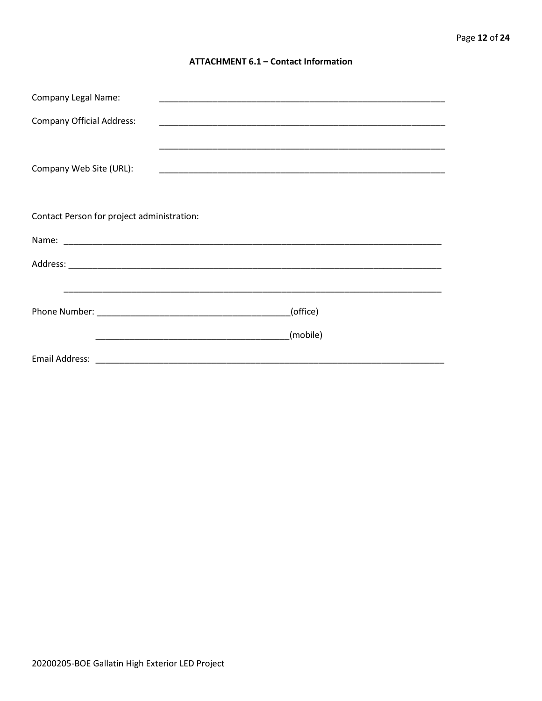#### **ATTACHMENT 6.1 - Contact Information**

| <b>Company Legal Name:</b>                 |          |  |
|--------------------------------------------|----------|--|
| <b>Company Official Address:</b>           |          |  |
|                                            |          |  |
| Company Web Site (URL):                    |          |  |
|                                            |          |  |
|                                            |          |  |
| Contact Person for project administration: |          |  |
|                                            |          |  |
|                                            |          |  |
|                                            |          |  |
|                                            | (office) |  |
|                                            |          |  |
|                                            | (mobile) |  |
|                                            |          |  |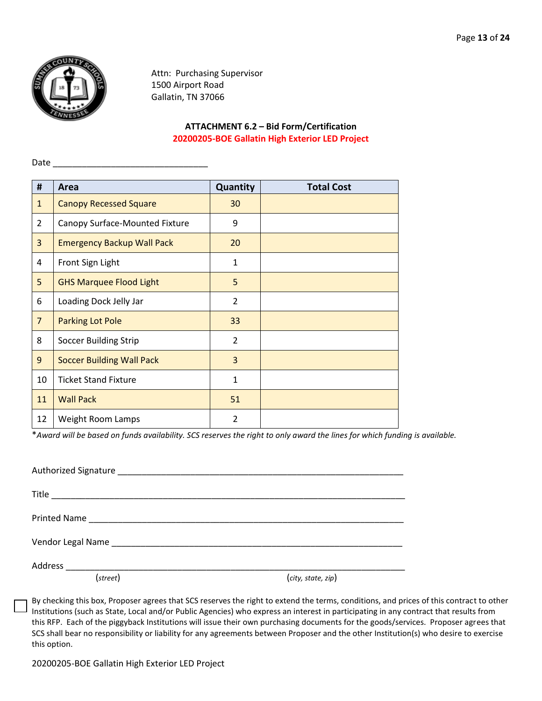

Date

Attn: Purchasing Supervisor 1500 Airport Road Gallatin, TN 37066

#### **ATTACHMENT 6.2 – Bid Form/Certification 20200205-BOE Gallatin High Exterior LED Project**

| #              | Area                              | Quantity       | <b>Total Cost</b> |
|----------------|-----------------------------------|----------------|-------------------|
| $\mathbf{1}$   | <b>Canopy Recessed Square</b>     | 30             |                   |
|                |                                   |                |                   |
| $\overline{2}$ | Canopy Surface-Mounted Fixture    | 9              |                   |
| 3              | <b>Emergency Backup Wall Pack</b> | 20             |                   |
| 4              | Front Sign Light                  | $\mathbf{1}$   |                   |
| 5              | <b>GHS Marquee Flood Light</b>    | 5              |                   |
| 6              | Loading Dock Jelly Jar            | $\overline{2}$ |                   |
| $\overline{7}$ | <b>Parking Lot Pole</b>           | 33             |                   |
| 8              | <b>Soccer Building Strip</b>      | $\overline{2}$ |                   |
| 9              | <b>Soccer Building Wall Pack</b>  | $\overline{3}$ |                   |
| 10             | <b>Ticket Stand Fixture</b>       | $\mathbf{1}$   |                   |
| 11             | <b>Wall Pack</b>                  | 51             |                   |
| 12             | Weight Room Lamps                 | $\overline{2}$ |                   |

\**Award will be based on funds availability. SCS reserves the right to only award the lines for which funding is available.*

| Vendor Legal Name Manual Annual Manual Annual Annual Annual Annual Annual Annual Annual Annual Annual Annual A |                    |
|----------------------------------------------------------------------------------------------------------------|--------------------|
|                                                                                                                |                    |
| (street)                                                                                                       | (city, state, zip) |

By checking this box, Proposer agrees that SCS reserves the right to extend the terms, conditions, and prices of this contract to other Institutions (such as State, Local and/or Public Agencies) who express an interest in participating in any contract that results from this RFP. Each of the piggyback Institutions will issue their own purchasing documents for the goods/services. Proposer agrees that SCS shall bear no responsibility or liability for any agreements between Proposer and the other Institution(s) who desire to exercise this option.

20200205-BOE Gallatin High Exterior LED Project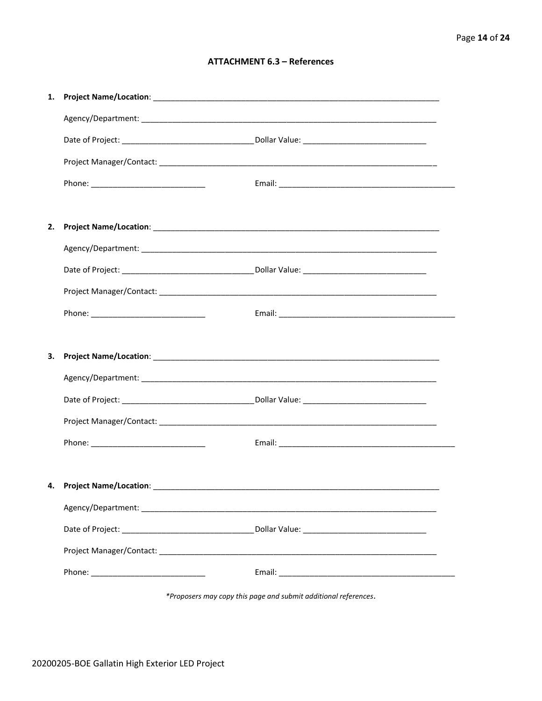#### **ATTACHMENT 6.3 - References**

| 1. |                                      |  |
|----|--------------------------------------|--|
|    |                                      |  |
|    |                                      |  |
|    |                                      |  |
|    |                                      |  |
|    |                                      |  |
| 2. |                                      |  |
|    |                                      |  |
|    |                                      |  |
|    |                                      |  |
|    |                                      |  |
|    |                                      |  |
| З. |                                      |  |
|    |                                      |  |
|    |                                      |  |
|    |                                      |  |
|    |                                      |  |
|    |                                      |  |
|    | 4. Project Name/Location: __________ |  |
|    |                                      |  |
|    |                                      |  |
|    |                                      |  |
|    |                                      |  |
|    |                                      |  |

\*Proposers may copy this page and submit additional references.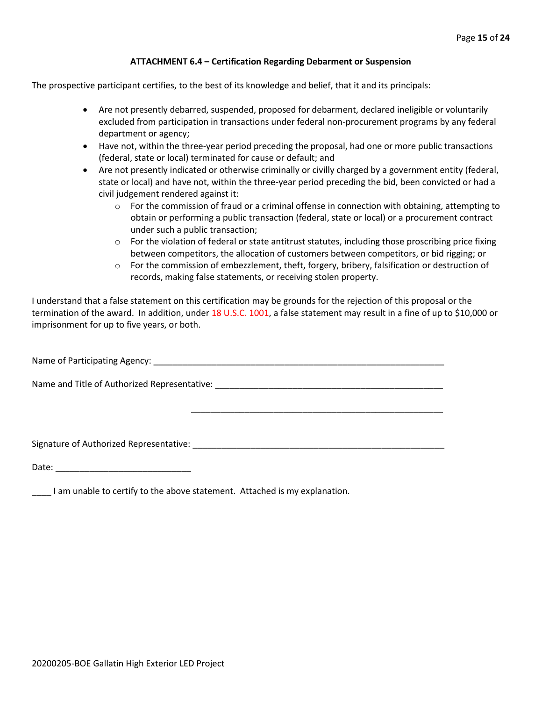#### **ATTACHMENT 6.4 – Certification Regarding Debarment or Suspension**

The prospective participant certifies, to the best of its knowledge and belief, that it and its principals:

- Are not presently debarred, suspended, proposed for debarment, declared ineligible or voluntarily excluded from participation in transactions under federal non-procurement programs by any federal department or agency;
- Have not, within the three-year period preceding the proposal, had one or more public transactions (federal, state or local) terminated for cause or default; and
- Are not presently indicated or otherwise criminally or civilly charged by a government entity (federal, state or local) and have not, within the three-year period preceding the bid, been convicted or had a civil judgement rendered against it:
	- $\circ$  For the commission of fraud or a criminal offense in connection with obtaining, attempting to obtain or performing a public transaction (federal, state or local) or a procurement contract under such a public transaction;
	- $\circ$  For the violation of federal or state antitrust statutes, including those proscribing price fixing between competitors, the allocation of customers between competitors, or bid rigging; or
	- $\circ$  For the commission of embezzlement, theft, forgery, bribery, falsification or destruction of records, making false statements, or receiving stolen property.

\_\_\_\_\_\_\_\_\_\_\_\_\_\_\_\_\_\_\_\_\_\_\_\_\_\_\_\_\_\_\_\_\_\_\_\_\_\_\_\_\_\_\_\_\_\_\_\_\_\_\_\_

I understand that a false statement on this certification may be grounds for the rejection of this proposal or the termination of the award. In addition, under 18 U.S.C. 1001, a false statement may result in a fine of up to \$10,000 or imprisonment for up to five years, or both.

Name of Participating Agency: \_\_\_\_\_\_\_\_\_\_\_\_\_\_\_\_\_\_\_\_\_\_\_\_\_\_\_\_\_\_\_\_\_\_\_\_\_\_\_\_\_\_\_\_\_\_\_\_\_\_\_\_\_\_\_\_\_\_\_\_

Name and Title of Authorized Representative: \_\_\_\_\_\_\_\_\_\_\_\_\_\_\_\_\_\_\_\_\_\_\_\_\_\_\_\_\_\_\_\_\_\_\_

Signature of Authorized Representative: \_\_\_\_\_\_\_\_\_\_\_\_\_\_\_\_\_\_\_\_\_\_\_\_\_\_\_\_\_\_\_\_\_\_\_\_\_\_\_\_\_\_\_\_\_\_\_\_\_\_\_\_

Date: \_\_\_\_\_\_\_\_\_\_\_\_\_\_\_\_\_\_\_\_\_\_\_\_\_\_\_\_

\_\_\_\_ I am unable to certify to the above statement. Attached is my explanation.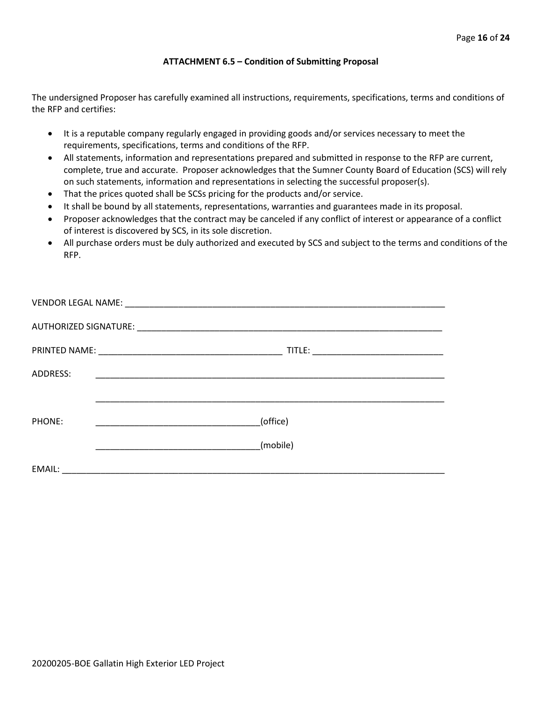#### **ATTACHMENT 6.5 – Condition of Submitting Proposal**

The undersigned Proposer has carefully examined all instructions, requirements, specifications, terms and conditions of the RFP and certifies:

- It is a reputable company regularly engaged in providing goods and/or services necessary to meet the requirements, specifications, terms and conditions of the RFP.
- All statements, information and representations prepared and submitted in response to the RFP are current, complete, true and accurate. Proposer acknowledges that the Sumner County Board of Education (SCS) will rely on such statements, information and representations in selecting the successful proposer(s).
- That the prices quoted shall be SCSs pricing for the products and/or service.
- It shall be bound by all statements, representations, warranties and guarantees made in its proposal.
- Proposer acknowledges that the contract may be canceled if any conflict of interest or appearance of a conflict of interest is discovered by SCS, in its sole discretion.
- All purchase orders must be duly authorized and executed by SCS and subject to the terms and conditions of the RFP.

| ADDRESS: |          |  |  |  |  |
|----------|----------|--|--|--|--|
|          |          |  |  |  |  |
| PHONE:   | (office) |  |  |  |  |
|          | (mobile) |  |  |  |  |
| EMAIL:   |          |  |  |  |  |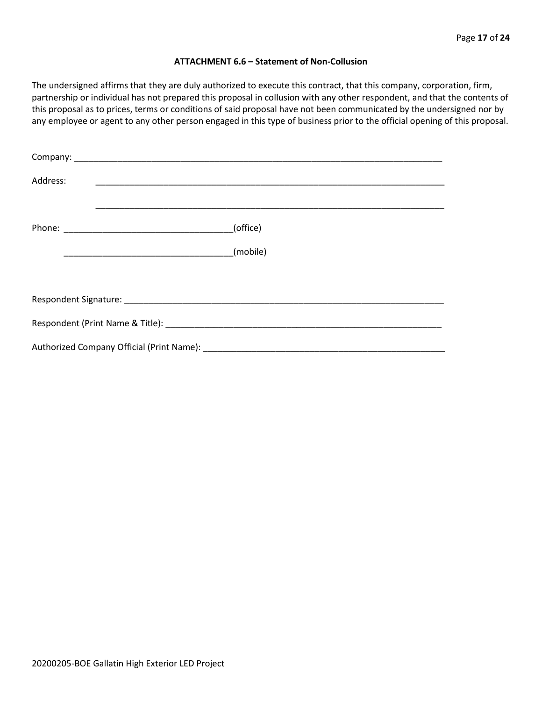#### **ATTACHMENT 6.6 – Statement of Non-Collusion**

The undersigned affirms that they are duly authorized to execute this contract, that this company, corporation, firm, partnership or individual has not prepared this proposal in collusion with any other respondent, and that the contents of this proposal as to prices, terms or conditions of said proposal have not been communicated by the undersigned nor by any employee or agent to any other person engaged in this type of business prior to the official opening of this proposal.

| Address: |          |  |  |  |  |
|----------|----------|--|--|--|--|
|          | (office) |  |  |  |  |
|          | (mobile) |  |  |  |  |
|          |          |  |  |  |  |
|          |          |  |  |  |  |
|          |          |  |  |  |  |
|          |          |  |  |  |  |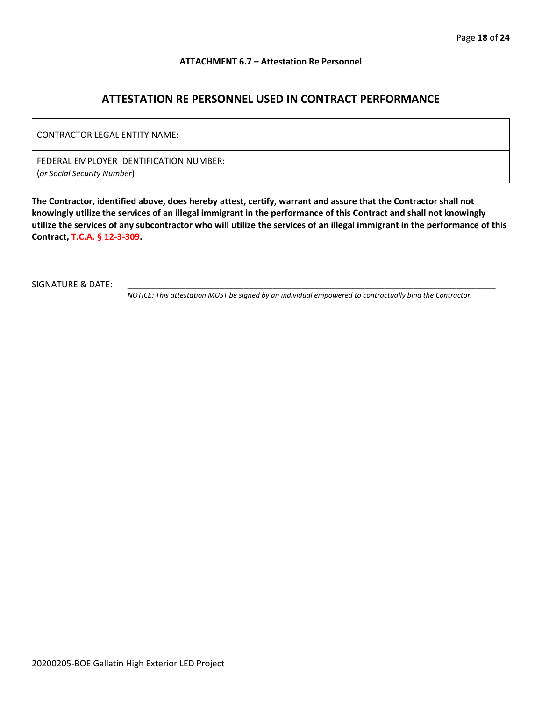#### **ATTACHMENT 6.7 – Attestation Re Personnel**

### **ATTESTATION RE PERSONNEL USED IN CONTRACT PERFORMANCE**

| CONTRACTOR LEGAL ENTITY NAME:                                          |  |
|------------------------------------------------------------------------|--|
| FEDERAL EMPLOYER IDENTIFICATION NUMBER:<br>(or Social Security Number) |  |

**The Contractor, identified above, does hereby attest, certify, warrant and assure that the Contractor shall not knowingly utilize the services of an illegal immigrant in the performance of this Contract and shall not knowingly utilize the services of any subcontractor who will utilize the services of an illegal immigrant in the performance of this Contract, T.C.A. § 12-3-309.**

SIGNATURE & DATE:

*NOTICE: This attestation MUST be signed by an individual empowered to contractually bind the Contractor.*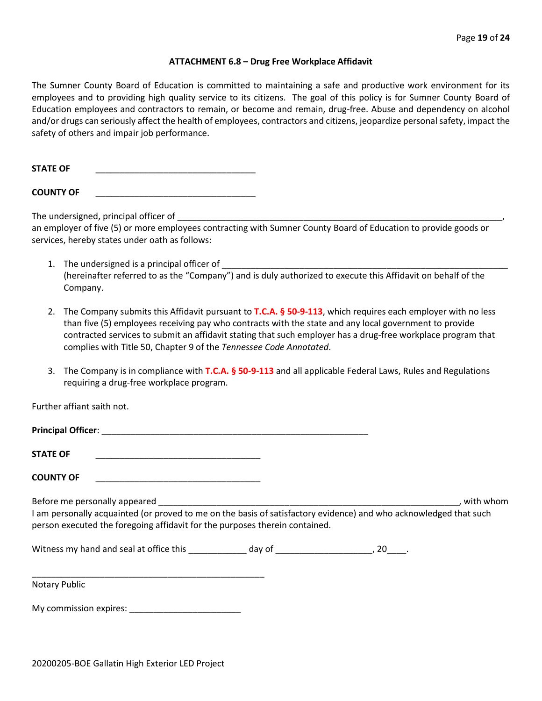#### **ATTACHMENT 6.8 – Drug Free Workplace Affidavit**

The Sumner County Board of Education is committed to maintaining a safe and productive work environment for its employees and to providing high quality service to its citizens. The goal of this policy is for Sumner County Board of Education employees and contractors to remain, or become and remain, drug-free. Abuse and dependency on alcohol and/or drugs can seriously affect the health of employees, contractors and citizens, jeopardize personal safety, impact the safety of others and impair job performance.

STATE OF

**COUNTY OF** \_\_\_\_\_\_\_\_\_\_\_\_\_\_\_\_\_\_\_\_\_\_\_\_\_\_\_\_\_\_\_\_\_

The undersigned, principal officer of

an employer of five (5) or more employees contracting with Sumner County Board of Education to provide goods or services, hereby states under oath as follows:

- 1. The undersigned is a principal officer of (hereinafter referred to as the "Company") and is duly authorized to execute this Affidavit on behalf of the Company.
- 2. The Company submits this Affidavit pursuant to **T.C.A. § 50-9-113**, which requires each employer with no less than five (5) employees receiving pay who contracts with the state and any local government to provide contracted services to submit an affidavit stating that such employer has a drug-free workplace program that complies with Title 50, Chapter 9 of the *Tennessee Code Annotated*.
- 3. The Company is in compliance with **T.C.A. § 50-9-113** and all applicable Federal Laws, Rules and Regulations requiring a drug-free workplace program.

Further affiant saith not.

| <b>Principal Officer:</b> |  |
|---------------------------|--|
|                           |  |
| <b>STATE OF</b>           |  |

**COUNTY OF** \_\_\_\_\_\_\_\_\_\_\_\_\_\_\_\_\_\_\_\_\_\_\_\_\_\_\_\_\_\_\_\_\_\_

Before me personally appeared \_\_\_\_\_\_\_\_\_\_\_\_\_\_\_\_\_\_\_\_\_\_\_\_\_\_\_\_\_\_\_\_\_\_\_\_\_\_\_\_\_\_\_\_\_\_\_\_\_\_\_\_\_\_\_\_\_\_\_\_\_\_, with whom I am personally acquainted (or proved to me on the basis of satisfactory evidence) and who acknowledged that such person executed the foregoing affidavit for the purposes therein contained.

Witness my hand and seal at office this \_\_\_\_\_\_\_\_\_\_\_\_\_ day of \_\_\_\_\_\_\_\_\_\_\_\_\_\_\_\_\_\_\_\_\_, 20\_\_\_\_.

\_\_\_\_\_\_\_\_\_\_\_\_\_\_\_\_\_\_\_\_\_\_\_\_\_\_\_\_\_\_\_\_\_\_\_\_\_\_\_\_\_\_\_\_\_\_\_\_ Notary Public

My commission expires: \_\_\_\_\_\_\_\_\_\_\_\_\_\_\_\_\_\_\_\_\_\_\_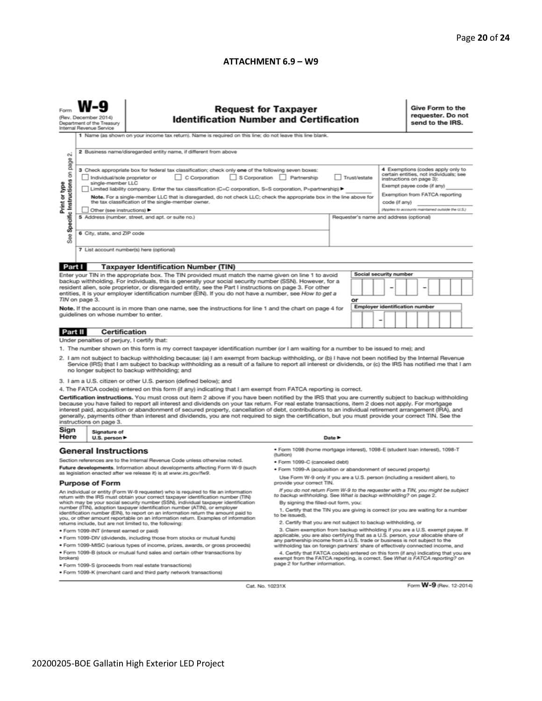#### **ATTACHMENT 6.9 – W9**

| <b>Request for Taxpayer</b><br>(Rev. December 2014)<br><b>Identification Number and Certification</b><br>Department of the Treasury<br>Internal Revenue Service<br>1 Name (as shown on your income tax return). Name is required on this line; do not leave this line blank.                                                                                                                                                                                                                                                                                                                                                                                                                                                                                                                                                                                                                                                                                                                                                                                                                                                                                                                                                                                                                                                                                                                                  |                                                                                                                                                                                                                                                                                                                                                                                                                                                                                                                                                                                                                                                                                                                                                                                                                     |  |                                                                                                                                                                                                                                                                                                                                                                                                                                                                                                                                                                                                                                                                                                                                                                                                                                                                                                                                                                                                                                                                                                                                                                                                                                     |        |  |  |                                                                                                                                                                                                                              |  |  | Give Form to the<br>requester. Do not<br>send to the IRS. |  |  |  |  |
|---------------------------------------------------------------------------------------------------------------------------------------------------------------------------------------------------------------------------------------------------------------------------------------------------------------------------------------------------------------------------------------------------------------------------------------------------------------------------------------------------------------------------------------------------------------------------------------------------------------------------------------------------------------------------------------------------------------------------------------------------------------------------------------------------------------------------------------------------------------------------------------------------------------------------------------------------------------------------------------------------------------------------------------------------------------------------------------------------------------------------------------------------------------------------------------------------------------------------------------------------------------------------------------------------------------------------------------------------------------------------------------------------------------|---------------------------------------------------------------------------------------------------------------------------------------------------------------------------------------------------------------------------------------------------------------------------------------------------------------------------------------------------------------------------------------------------------------------------------------------------------------------------------------------------------------------------------------------------------------------------------------------------------------------------------------------------------------------------------------------------------------------------------------------------------------------------------------------------------------------|--|-------------------------------------------------------------------------------------------------------------------------------------------------------------------------------------------------------------------------------------------------------------------------------------------------------------------------------------------------------------------------------------------------------------------------------------------------------------------------------------------------------------------------------------------------------------------------------------------------------------------------------------------------------------------------------------------------------------------------------------------------------------------------------------------------------------------------------------------------------------------------------------------------------------------------------------------------------------------------------------------------------------------------------------------------------------------------------------------------------------------------------------------------------------------------------------------------------------------------------------|--------|--|--|------------------------------------------------------------------------------------------------------------------------------------------------------------------------------------------------------------------------------|--|--|-----------------------------------------------------------|--|--|--|--|
| σû<br>Specific Instructions on page<br>Print or type<br>See                                                                                                                                                                                                                                                                                                                                                                                                                                                                                                                                                                                                                                                                                                                                                                                                                                                                                                                                                                                                                                                                                                                                                                                                                                                                                                                                                   | 2 Business name/disregarded entity name, if different from above<br>3 Check appropriate box for federal tax classification; check only one of the following seven boxes:<br>C Corporation<br>S Corporation Partnership<br>Trust/estate<br>Individual/sole proprietor or<br>single-member LLC<br>Limited liability company. Enter the tax classification (C=C corporation, S=S corporation, P=partnership) ▶<br>Note. For a single-member LLC that is disregarded, do not check LLC; check the appropriate box in the line above for<br>the tax classification of the single-member owner.<br>code (if any)<br>Other (see instructions) ▶<br>5 Address (number, street, and apt. or suite no.)<br>Requester's name and address (optional)<br>6 City, state, and ZIP code<br>7 List account number(s) here (optional) |  |                                                                                                                                                                                                                                                                                                                                                                                                                                                                                                                                                                                                                                                                                                                                                                                                                                                                                                                                                                                                                                                                                                                                                                                                                                     |        |  |  | 4 Exemptions (codes apply only to<br>certain entities, not individuals; see<br>instructions on page 3):<br>Exempt payee code (if any)<br>Exemption from FATCA reporting<br>(Applies to accounts maintained outside the U.S.) |  |  |                                                           |  |  |  |  |
|                                                                                                                                                                                                                                                                                                                                                                                                                                                                                                                                                                                                                                                                                                                                                                                                                                                                                                                                                                                                                                                                                                                                                                                                                                                                                                                                                                                                               |                                                                                                                                                                                                                                                                                                                                                                                                                                                                                                                                                                                                                                                                                                                                                                                                                     |  |                                                                                                                                                                                                                                                                                                                                                                                                                                                                                                                                                                                                                                                                                                                                                                                                                                                                                                                                                                                                                                                                                                                                                                                                                                     |        |  |  |                                                                                                                                                                                                                              |  |  |                                                           |  |  |  |  |
| Part I<br><b>Taxpayer Identification Number (TIN)</b><br>Social security number<br>Enter your TIN in the appropriate box. The TIN provided must match the name given on line 1 to avoid<br>backup withholding. For individuals, this is generally your social security number (SSN). However, for a<br>resident alien, sole proprietor, or disregarded entity, see the Part I instructions on page 3. For other<br>entities, it is your employer identification number (EIN). If you do not have a number, see How to get a<br>TIN on page 3.<br>or<br><b>Employer identification number</b><br>Note. If the account is in more than one name, see the instructions for line 1 and the chart on page 4 for<br>guidelines on whose number to enter.<br>-                                                                                                                                                                                                                                                                                                                                                                                                                                                                                                                                                                                                                                                       |                                                                                                                                                                                                                                                                                                                                                                                                                                                                                                                                                                                                                                                                                                                                                                                                                     |  |                                                                                                                                                                                                                                                                                                                                                                                                                                                                                                                                                                                                                                                                                                                                                                                                                                                                                                                                                                                                                                                                                                                                                                                                                                     |        |  |  |                                                                                                                                                                                                                              |  |  |                                                           |  |  |  |  |
| Part II                                                                                                                                                                                                                                                                                                                                                                                                                                                                                                                                                                                                                                                                                                                                                                                                                                                                                                                                                                                                                                                                                                                                                                                                                                                                                                                                                                                                       | <b>Certification</b>                                                                                                                                                                                                                                                                                                                                                                                                                                                                                                                                                                                                                                                                                                                                                                                                |  |                                                                                                                                                                                                                                                                                                                                                                                                                                                                                                                                                                                                                                                                                                                                                                                                                                                                                                                                                                                                                                                                                                                                                                                                                                     |        |  |  |                                                                                                                                                                                                                              |  |  |                                                           |  |  |  |  |
| Under penalties of perjury, I certify that:<br>1. The number shown on this form is my correct taxpayer identification number (or I am waiting for a number to be issued to me); and<br>2. I am not subject to backup withholding because: (a) I am exempt from backup withholding, or (b) I have not been notified by the Internal Revenue<br>Service (IRS) that I am subject to backup withholding as a result of a failure to report all interest or dividends, or (c) the IRS has notified me that I am<br>no longer subject to backup withholding; and<br>3. I am a U.S. citizen or other U.S. person (defined below); and<br>4. The FATCA code(s) entered on this form (if any) indicating that I am exempt from FATCA reporting is correct.<br>Certification instructions. You must cross out item 2 above if you have been notified by the IRS that you are currently subject to backup withholding<br>because you have failed to report all interest and dividends on your tax return. For real estate transactions, item 2 does not apply. For mortgage<br>interest paid, acquisition or abandonment of secured property, cancellation of debt, contributions to an individual retirement arrangement (IRA), and<br>generally, payments other than interest and dividends, you are not required to sign the certification, but you must provide your correct TIN. See the<br>instructions on page 3. |                                                                                                                                                                                                                                                                                                                                                                                                                                                                                                                                                                                                                                                                                                                                                                                                                     |  |                                                                                                                                                                                                                                                                                                                                                                                                                                                                                                                                                                                                                                                                                                                                                                                                                                                                                                                                                                                                                                                                                                                                                                                                                                     |        |  |  |                                                                                                                                                                                                                              |  |  |                                                           |  |  |  |  |
| Sign<br>Here                                                                                                                                                                                                                                                                                                                                                                                                                                                                                                                                                                                                                                                                                                                                                                                                                                                                                                                                                                                                                                                                                                                                                                                                                                                                                                                                                                                                  | Signature of<br>U.S. person ▶                                                                                                                                                                                                                                                                                                                                                                                                                                                                                                                                                                                                                                                                                                                                                                                       |  |                                                                                                                                                                                                                                                                                                                                                                                                                                                                                                                                                                                                                                                                                                                                                                                                                                                                                                                                                                                                                                                                                                                                                                                                                                     | Date P |  |  |                                                                                                                                                                                                                              |  |  |                                                           |  |  |  |  |
| <b>General Instructions</b><br>Section references are to the Internal Revenue Code unless otherwise noted.<br>Future developments. Information about developments affecting Form W-9 (such<br>as legislation enacted after we release it) is at www.irs.gov/fw9.<br><b>Purpose of Form</b><br>An individual or entity (Form W-9 requester) who is required to file an information<br>return with the IRS must obtain your correct taxpayer identification number (TIN)<br>which may be your social security number (SSN), individual taxpayer identification<br>number (ITIN), adoption taxpayer identification number (ATIN), or employer<br>identification number (EIN), to report on an information return the amount paid to<br>you, or other amount reportable on an information return. Examples of information<br>returns include, but are not limited to, the following:<br>· Form 1099-INT (interest earned or paid)<br>. Form 1099-DIV (dividends, including those from stocks or mutual funds)<br>. Form 1099-MISC (various types of income, prizes, awards, or gross proceeds)<br>. Form 1099-B (stock or mutual fund sales and certain other transactions by<br>brokers)<br>· Form 1099-S (proceeds from real estate transactions)                                                                                                                                                               |                                                                                                                                                                                                                                                                                                                                                                                                                                                                                                                                                                                                                                                                                                                                                                                                                     |  | · Form 1098 (home mortgage interest), 1098-E (student Ioan interest), 1098-T<br>(tuition)<br>• Form 1099-C (canceled debt)<br>. Form 1099-A (acquisition or abandonment of secured property)<br>Use Form W-9 only if you are a U.S. person (including a resident alien), to<br>provide your correct TIN.<br>If you do not return Form W-9 to the requester with a TIN, you might be subject<br>to backup withholding. See What is backup withholding? on page 2.<br>By signing the filled-out form, you:<br>1. Certify that the TIN you are giving is correct (or you are waiting for a number<br>to be issued).<br>2. Certify that you are not subject to backup withholding, or<br>3. Claim exemption from backup withholding if you are a U.S. exempt payee. If<br>applicable, you are also certifying that as a U.S. person, your allocable share of<br>any partnership income from a U.S. trade or business is not subject to the<br>withholding tax on foreign partners' share of effectively connected income, and<br>4. Certify that FATCA code(s) entered on this form (if any) indicating that you are<br>exempt from the FATCA reporting, is correct. See What is FATCA reporting? on<br>page 2 for further information. |        |  |  |                                                                                                                                                                                                                              |  |  |                                                           |  |  |  |  |
|                                                                                                                                                                                                                                                                                                                                                                                                                                                                                                                                                                                                                                                                                                                                                                                                                                                                                                                                                                                                                                                                                                                                                                                                                                                                                                                                                                                                               | . Form 1099-K (merchant card and third party network transactions)                                                                                                                                                                                                                                                                                                                                                                                                                                                                                                                                                                                                                                                                                                                                                  |  |                                                                                                                                                                                                                                                                                                                                                                                                                                                                                                                                                                                                                                                                                                                                                                                                                                                                                                                                                                                                                                                                                                                                                                                                                                     |        |  |  |                                                                                                                                                                                                                              |  |  |                                                           |  |  |  |  |

Cat. No. 10231X

Form W-9 (Rev. 12-2014)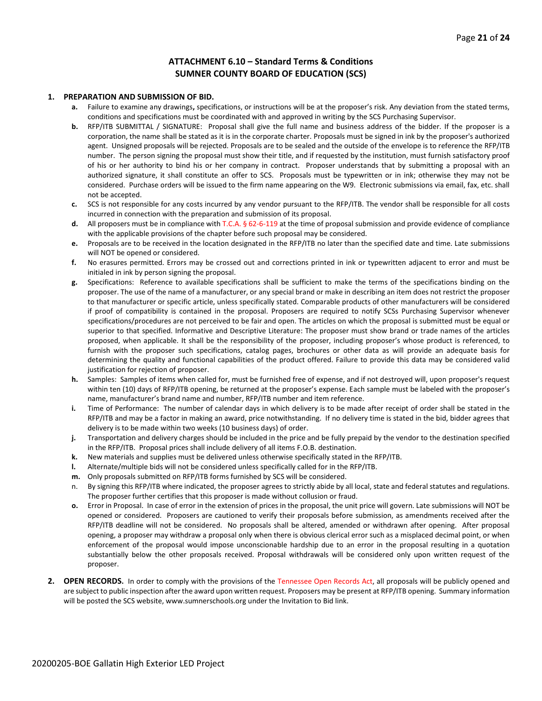#### **ATTACHMENT 6.10 – Standard Terms & Conditions SUMNER COUNTY BOARD OF EDUCATION (SCS)**

#### **1. PREPARATION AND SUBMISSION OF BID.**

- **a.** Failure to examine any drawings**,** specifications, or instructions will be at the proposer's risk. Any deviation from the stated terms, conditions and specifications must be coordinated with and approved in writing by the SCS Purchasing Supervisor.
- **b.** RFP/ITB SUBMITTAL / SIGNATURE: Proposal shall give the full name and business address of the bidder. If the proposer is a corporation, the name shall be stated as it is in the corporate charter. Proposals must be signed in ink by the proposer's authorized agent. Unsigned proposals will be rejected. Proposals are to be sealed and the outside of the envelope is to reference the RFP/ITB number. The person signing the proposal must show their title, and if requested by the institution, must furnish satisfactory proof of his or her authority to bind his or her company in contract. Proposer understands that by submitting a proposal with an authorized signature, it shall constitute an offer to SCS. Proposals must be typewritten or in ink; otherwise they may not be considered. Purchase orders will be issued to the firm name appearing on the W9. Electronic submissions via email, fax, etc. shall not be accepted.
- **c.** SCS is not responsible for any costs incurred by any vendor pursuant to the RFP/ITB. The vendor shall be responsible for all costs incurred in connection with the preparation and submission of its proposal.
- **d.** All proposers must be in compliance with T.C.A. § 62-6-119 at the time of proposal submission and provide evidence of compliance with the applicable provisions of the chapter before such proposal may be considered.
- **e.** Proposals are to be received in the location designated in the RFP/ITB no later than the specified date and time. Late submissions will NOT be opened or considered.
- **f.** No erasures permitted. Errors may be crossed out and corrections printed in ink or typewritten adjacent to error and must be initialed in ink by person signing the proposal.
- **g.** Specifications: Reference to available specifications shall be sufficient to make the terms of the specifications binding on the proposer. The use of the name of a manufacturer, or any special brand or make in describing an item does not restrict the proposer to that manufacturer or specific article, unless specifically stated. Comparable products of other manufacturers will be considered if proof of compatibility is contained in the proposal. Proposers are required to notify SCSs Purchasing Supervisor whenever specifications/procedures are not perceived to be fair and open. The articles on which the proposal is submitted must be equal or superior to that specified. Informative and Descriptive Literature: The proposer must show brand or trade names of the articles proposed, when applicable. It shall be the responsibility of the proposer, including proposer's whose product is referenced, to furnish with the proposer such specifications, catalog pages, brochures or other data as will provide an adequate basis for determining the quality and functional capabilities of the product offered. Failure to provide this data may be considered valid justification for rejection of proposer.
- **h.** Samples: Samples of items when called for, must be furnished free of expense, and if not destroyed will, upon proposer's request within ten (10) days of RFP/ITB opening, be returned at the proposer's expense. Each sample must be labeled with the proposer's name, manufacturer's brand name and number, RFP/ITB number and item reference.
- **i.** Time of Performance: The number of calendar days in which delivery is to be made after receipt of order shall be stated in the RFP/ITB and may be a factor in making an award, price notwithstanding. If no delivery time is stated in the bid, bidder agrees that delivery is to be made within two weeks (10 business days) of order.
- **j.** Transportation and delivery charges should be included in the price and be fully prepaid by the vendor to the destination specified in the RFP/ITB. Proposal prices shall include delivery of all items F.O.B. destination.
- **k.** New materials and supplies must be delivered unless otherwise specifically stated in the RFP/ITB.
- **l.** Alternate/multiple bids will not be considered unless specifically called for in the RFP/ITB.
- **m.** Only proposals submitted on RFP/ITB forms furnished by SCS will be considered.
- n. By signing this RFP/ITB where indicated, the proposer agrees to strictly abide by all local, state and federal statutes and regulations. The proposer further certifies that this proposer is made without collusion or fraud.
- **o.** Error in Proposal. In case of error in the extension of prices in the proposal, the unit price will govern. Late submissions will NOT be opened or considered. Proposers are cautioned to verify their proposals before submission, as amendments received after the RFP/ITB deadline will not be considered. No proposals shall be altered, amended or withdrawn after opening. After proposal opening, a proposer may withdraw a proposal only when there is obvious clerical error such as a misplaced decimal point, or when enforcement of the proposal would impose unconscionable hardship due to an error in the proposal resulting in a quotation substantially below the other proposals received. Proposal withdrawals will be considered only upon written request of the proposer.
- **2. OPEN RECORDS.** In order to comply with the provisions of the Tennessee Open Records Act, all proposals will be publicly opened and are subject to public inspection after the award upon written request. Proposers may be present at RFP/ITB opening. Summary information will be posted the SCS website, www.sumnerschools.org under the Invitation to Bid link.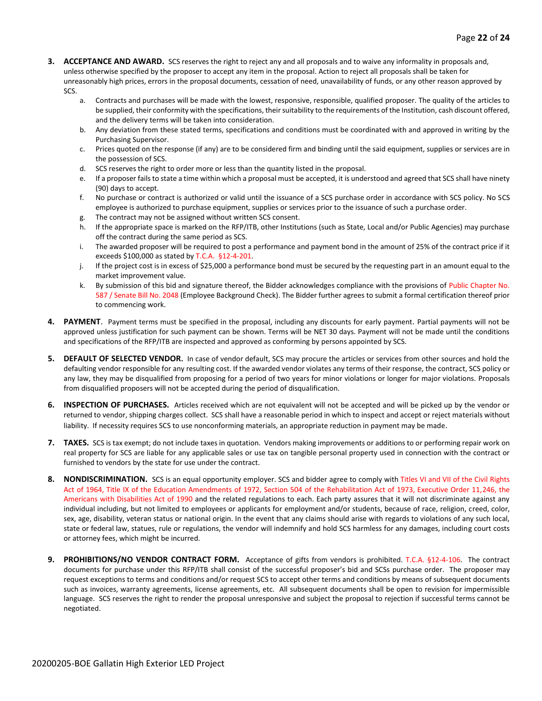- **3. ACCEPTANCE AND AWARD.** SCS reserves the right to reject any and all proposals and to waive any informality in proposals and, unless otherwise specified by the proposer to accept any item in the proposal. Action to reject all proposals shall be taken for unreasonably high prices, errors in the proposal documents, cessation of need, unavailability of funds, or any other reason approved by SCS.
	- a. Contracts and purchases will be made with the lowest, responsive, responsible, qualified proposer. The quality of the articles to be supplied, their conformity with the specifications, their suitability to the requirements of the Institution, cash discount offered, and the delivery terms will be taken into consideration.
	- b. Any deviation from these stated terms, specifications and conditions must be coordinated with and approved in writing by the Purchasing Supervisor.
	- c. Prices quoted on the response (if any) are to be considered firm and binding until the said equipment, supplies or services are in the possession of SCS.
	- d. SCS reserves the right to order more or less than the quantity listed in the proposal.
	- e. If a proposer fails to state a time within which a proposal must be accepted, it is understood and agreed that SCS shall have ninety (90) days to accept.
	- f. No purchase or contract is authorized or valid until the issuance of a SCS purchase order in accordance with SCS policy. No SCS employee is authorized to purchase equipment, supplies or services prior to the issuance of such a purchase order.
	- g. The contract may not be assigned without written SCS consent.
	- h. If the appropriate space is marked on the RFP/ITB, other Institutions (such as State, Local and/or Public Agencies) may purchase off the contract during the same period as SCS.
	- i. The awarded proposer will be required to post a performance and payment bond in the amount of 25% of the contract price if it exceeds \$100,000 as stated by T.C.A. §12-4-201.
	- j. If the project cost is in excess of \$25,000 a performance bond must be secured by the requesting part in an amount equal to the market improvement value.
	- k. By submission of this bid and signature thereof, the Bidder acknowledges compliance with the provisions of Public Chapter No. 587 / Senate Bill No. 2048 (Employee Background Check). The Bidder further agrees to submit a formal certification thereof prior to commencing work.
- **4. PAYMENT**. Payment terms must be specified in the proposal, including any discounts for early payment. Partial payments will not be approved unless justification for such payment can be shown. Terms will be NET 30 days. Payment will not be made until the conditions and specifications of the RFP/ITB are inspected and approved as conforming by persons appointed by SCS.
- **5. DEFAULT OF SELECTED VENDOR.** In case of vendor default, SCS may procure the articles or services from other sources and hold the defaulting vendor responsible for any resulting cost. If the awarded vendor violates any terms of their response, the contract, SCS policy or any law, they may be disqualified from proposing for a period of two years for minor violations or longer for major violations. Proposals from disqualified proposers will not be accepted during the period of disqualification.
- **6. INSPECTION OF PURCHASES.** Articles received which are not equivalent will not be accepted and will be picked up by the vendor or returned to vendor, shipping charges collect. SCS shall have a reasonable period in which to inspect and accept or reject materials without liability. If necessity requires SCS to use nonconforming materials, an appropriate reduction in payment may be made.
- **7. TAXES.** SCS is tax exempt; do not include taxes in quotation. Vendors making improvements or additions to or performing repair work on real property for SCS are liable for any applicable sales or use tax on tangible personal property used in connection with the contract or furnished to vendors by the state for use under the contract.
- **8. NONDISCRIMINATION.** SCS is an equal opportunity employer. SCS and bidder agree to comply with Titles VI and VII of the Civil Rights Act of 1964, Title IX of the Education Amendments of 1972, Section 504 of the Rehabilitation Act of 1973, Executive Order 11,246, the Americans with Disabilities Act of 1990 and the related regulations to each. Each party assures that it will not discriminate against any individual including, but not limited to employees or applicants for employment and/or students, because of race, religion, creed, color, sex, age, disability, veteran status or national origin. In the event that any claims should arise with regards to violations of any such local, state or federal law, statues, rule or regulations, the vendor will indemnify and hold SCS harmless for any damages, including court costs or attorney fees, which might be incurred.
- **9. PROHIBITIONS/NO VENDOR CONTRACT FORM.** Acceptance of gifts from vendors is prohibited. T.C.A. §12-4-106. The contract documents for purchase under this RFP/ITB shall consist of the successful proposer's bid and SCSs purchase order. The proposer may request exceptions to terms and conditions and/or request SCS to accept other terms and conditions by means of subsequent documents such as invoices, warranty agreements, license agreements, etc. All subsequent documents shall be open to revision for impermissible language. SCS reserves the right to render the proposal unresponsive and subject the proposal to rejection if successful terms cannot be negotiated.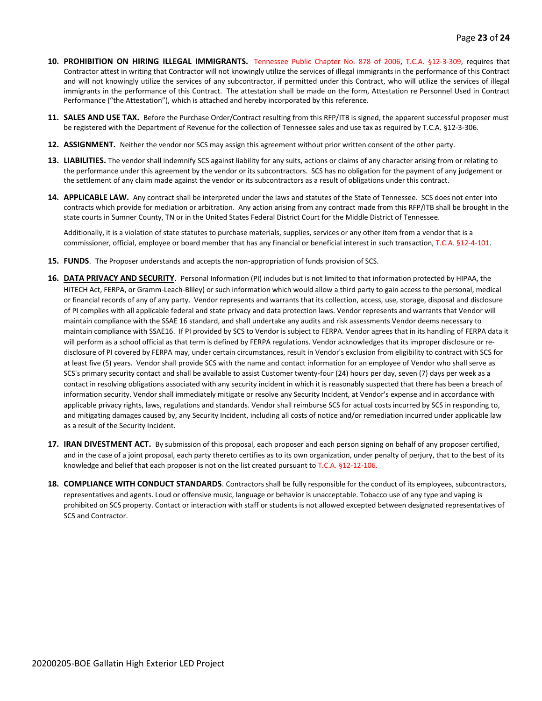- **10. PROHIBITION ON HIRING ILLEGAL IMMIGRANTS.** Tennessee Public Chapter No. 878 of 2006, T.C.A. §12-3-309, requires that Contractor attest in writing that Contractor will not knowingly utilize the services of illegal immigrants in the performance of this Contract and will not knowingly utilize the services of any subcontractor, if permitted under this Contract, who will utilize the services of illegal immigrants in the performance of this Contract. The attestation shall be made on the form, Attestation re Personnel Used in Contract Performance ("the Attestation"), which is attached and hereby incorporated by this reference.
- **11. SALES AND USE TAX.** Before the Purchase Order/Contract resulting from this RFP/ITB is signed, the apparent successful proposer must be registered with the Department of Revenue for the collection of Tennessee sales and use tax as required by T.C.A. §12-3-306.
- **12. ASSIGNMENT.** Neither the vendor nor SCS may assign this agreement without prior written consent of the other party.
- **13. LIABILITIES.** The vendor shall indemnify SCS against liability for any suits, actions or claims of any character arising from or relating to the performance under this agreement by the vendor or its subcontractors. SCS has no obligation for the payment of any judgement or the settlement of any claim made against the vendor or its subcontractors as a result of obligations under this contract.
- **14. APPLICABLE LAW.** Any contract shall be interpreted under the laws and statutes of the State of Tennessee. SCS does not enter into contracts which provide for mediation or arbitration. Any action arising from any contract made from this RFP/ITB shall be brought in the state courts in Sumner County, TN or in the United States Federal District Court for the Middle District of Tennessee.

Additionally, it is a violation of state statutes to purchase materials, supplies, services or any other item from a vendor that is a commissioner, official, employee or board member that has any financial or beneficial interest in such transaction, T.C.A. §12-4-101.

- **15. FUNDS**. The Proposer understands and accepts the non-appropriation of funds provision of SCS.
- **16. DATA PRIVACY AND SECURITY**. Personal Information (PI) includes but is not limited to that information protected by HIPAA, the HITECH Act, FERPA, or Gramm-Leach-Bliley) or such information which would allow a third party to gain access to the personal, medical or financial records of any of any party. Vendor represents and warrants that its collection, access, use, storage, disposal and disclosure of PI complies with all applicable federal and state privacy and data protection laws. Vendor represents and warrants that Vendor will maintain compliance with the SSAE 16 standard, and shall undertake any audits and risk assessments Vendor deems necessary to maintain compliance with SSAE16. If PI provided by SCS to Vendor is subject to FERPA. Vendor agrees that in its handling of FERPA data it will perform as a school official as that term is defined by FERPA regulations. Vendor acknowledges that its improper disclosure or redisclosure of PI covered by FERPA may, under certain circumstances, result in Vendor's exclusion from eligibility to contract with SCS for at least five (5) years. Vendor shall provide SCS with the name and contact information for an employee of Vendor who shall serve as SCS's primary security contact and shall be available to assist Customer twenty-four (24) hours per day, seven (7) days per week as a contact in resolving obligations associated with any security incident in which it is reasonably suspected that there has been a breach of information security. Vendor shall immediately mitigate or resolve any Security Incident, at Vendor's expense and in accordance with applicable privacy rights, laws, regulations and standards. Vendor shall reimburse SCS for actual costs incurred by SCS in responding to, and mitigating damages caused by, any Security Incident, including all costs of notice and/or remediation incurred under applicable law as a result of the Security Incident.
- **17. IRAN DIVESTMENT ACT.** By submission of this proposal, each proposer and each person signing on behalf of any proposer certified, and in the case of a joint proposal, each party thereto certifies as to its own organization, under penalty of perjury, that to the best of its knowledge and belief that each proposer is not on the list created pursuant to T.C.A. §12-12-106.
- **18. COMPLIANCE WITH CONDUCT STANDARDS**. Contractors shall be fully responsible for the conduct of its employees, subcontractors, representatives and agents. Loud or offensive music, language or behavior is unacceptable. Tobacco use of any type and vaping is prohibited on SCS property. Contact or interaction with staff or students is not allowed excepted between designated representatives of SCS and Contractor.